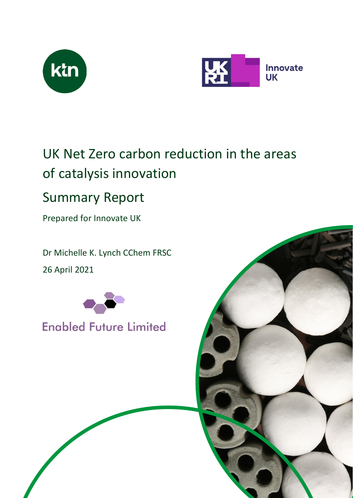



# UK Net Zero carbon reduction in the areas of catalysis innovation

## Summary Report

Prepared for Innovate UK

Dr Michelle K. Lynch CChem FRSC 26 April 2021



## **Enabled Future Limited**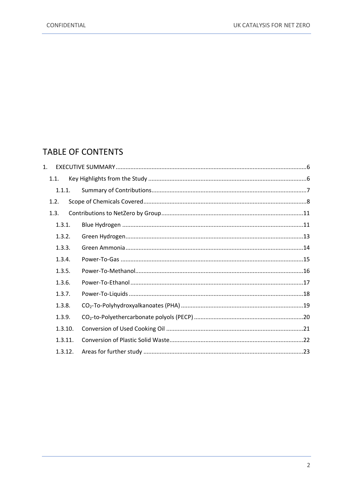## **TABLE OF CONTENTS**

| $\mathbf{1}$ . |         |  |
|----------------|---------|--|
|                | 1.1.    |  |
|                | 1.1.1.  |  |
|                | 1.2.    |  |
|                | 1.3.    |  |
|                | 1.3.1.  |  |
|                | 1.3.2.  |  |
|                | 1.3.3.  |  |
|                | 1.3.4.  |  |
|                | 1.3.5.  |  |
|                | 1.3.6.  |  |
|                | 1.3.7.  |  |
|                | 1.3.8.  |  |
|                | 1.3.9.  |  |
|                | 1.3.10. |  |
|                | 1.3.11. |  |
|                | 1.3.12. |  |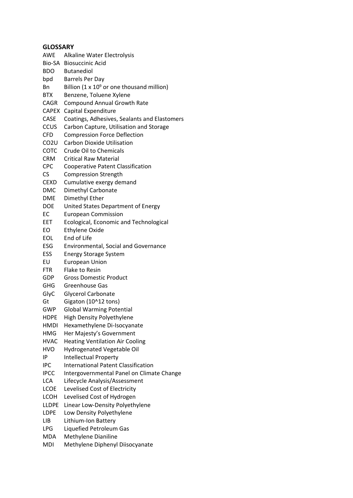## **GLOSSARY**

| GLOSSAKY     |                                                    |
|--------------|----------------------------------------------------|
| AWE          | Alkaline Water Electrolysis                        |
|              | Bio-SA Biosuccinic Acid                            |
| BDO          | <b>Butanediol</b>                                  |
| bpd          | <b>Barrels Per Day</b>                             |
| Bn           | Billion $(1 \times 10^9)$ or one thousand million) |
| BTX          | Benzene, Toluene Xylene                            |
| CAGR         | <b>Compound Annual Growth Rate</b>                 |
| CAPEX        | Capital Expenditure                                |
| CASE         | Coatings, Adhesives, Sealants and Elastomers       |
| CCUS         | Carbon Capture, Utilisation and Storage            |
| CFD          | <b>Compression Force Deflection</b>                |
| CO2U         | <b>Carbon Dioxide Utilisation</b>                  |
| COTC         | <b>Crude Oil to Chemicals</b>                      |
| CRM          | <b>Critical Raw Material</b>                       |
| CPC          | <b>Cooperative Patent Classification</b>           |
| CS           | <b>Compression Strength</b>                        |
| CEXD         | Cumulative exergy demand                           |
| <b>DMC</b>   | Dimethyl Carbonate                                 |
| <b>DME</b>   | Dimethyl Ether                                     |
| DOE          | United States Department of Energy                 |
| EС           | <b>European Commission</b>                         |
| EET          | Ecological, Economic and Technological             |
| EО           | <b>Ethylene Oxide</b>                              |
| EOL          | End of Life                                        |
| ESG          | <b>Environmental, Social and Governance</b>        |
| ESS          | <b>Energy Storage System</b>                       |
| EU           | <b>European Union</b>                              |
| FTR          | <b>Flake to Resin</b>                              |
| GDP          | <b>Gross Domestic Product</b>                      |
| GHG          | Greenhouse Gas                                     |
| GlyC         | <b>Glycerol Carbonate</b>                          |
| Gt           | Gigaton (10^12 tons)                               |
| GWP          | <b>Global Warming Potential</b>                    |
| <b>HDPE</b>  | <b>High Density Polyethylene</b>                   |
| HMDI         | Hexamethylene Di-Isocyanate                        |
| HMG          | Her Majesty's Government                           |
| <b>HVAC</b>  | <b>Heating Ventilation Air Cooling</b>             |
| HVO          | <b>Hydrogenated Vegetable Oil</b>                  |
| IP           | Intellectual Property                              |
| IPC          | <b>International Patent Classification</b>         |
| IPCC         | Intergovernmental Panel on Climate Change          |
| LCA          | Lifecycle Analysis/Assessment                      |
| LCOE         | Levelised Cost of Electricity                      |
| LCOH         | Levelised Cost of Hydrogen                         |
| <b>LLDPE</b> | Linear Low-Density Polyethylene                    |
| LDPE         | Low Density Polyethylene                           |
| LIB          | Lithium-Ion Battery                                |
| LPG          | Liquefied Petroleum Gas                            |

- MDA Methylene Dianiline<br>MDI Methylene Diphenyl
- Methylene Diphenyl Diisocyanate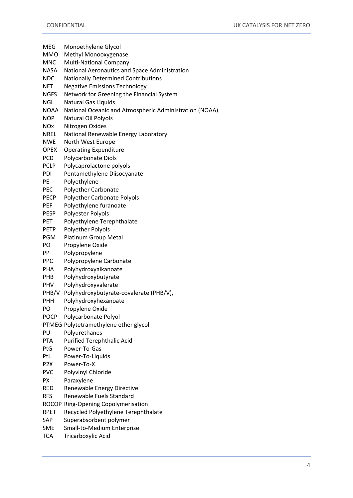- MEG Monoethylene Glycol MMO Methyl Monooxygenase MNC Multi-National Company NASA National Aeronautics and Space Administration NDC Nationally Determined Contributions NET Negative Emissions Technology NGFS Network for Greening the Financial System NGL Natural Gas Liquids NOAA National Oceanic and Atmospheric Administration (NOAA). NOP Natural Oil Polyols NOx Nitrogen Oxides NREL National Renewable Energy Laboratory NWE North West Europe OPEX Operating Expenditure PCD Polycarbonate Diols PCLP Polycaprolactone polyols PDI Pentamethylene Diisocyanate PE Polyethylene PEC Polyether Carbonate PECP Polyether Carbonate Polyols PEF Polyethylene furanoate PESP Polyester Polyols PET Polyethylene Terephthalate PETP Polyether Polyols PGM Platinum Group Metal PO Propylene Oxide PP Polypropylene PPC Polypropylene Carbonate PHA Polyhydroxyalkanoate PHB Polyhydroxybutyrate PHV Polyhydroxyvalerate PHB/V Polyhydroxybutyrate-covalerate (PHB/V), PHH Polyhydroxyhexanoate PO Propylene Oxide POCP Polycarbonate Polyol PTMEG Polytetramethylene ether glycol PU Polyurethanes PTA Purified Terephthalic Acid PtG Power-To-Gas PtL Power-To-Liquids P2X Power-To-X PVC Polyvinyl Chloride PX Paraxylene RED Renewable Energy Directive RFS Renewable Fuels Standard ROCOP Ring-Opening Copolymerisation RPET Recycled Polyethylene Terephthalate SAP Superabsorbent polymer SME Small-to-Medium Enterprise
- TCA Tricarboxylic Acid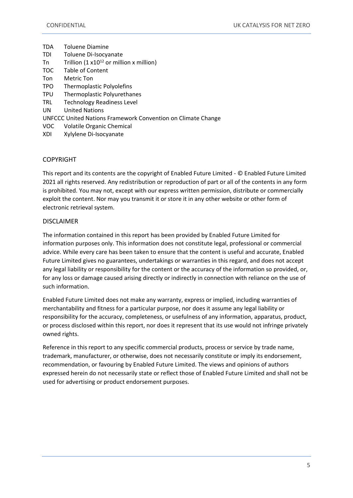| <b>TDA</b> | <b>Toluene Diamine</b>                                              |
|------------|---------------------------------------------------------------------|
| <b>TDI</b> | Toluene Di-Isocyanate                                               |
| Tn         | Trillion (1 $x10^{12}$ or million x million)                        |
| <b>TOC</b> | Table of Content                                                    |
| Ton        | Metric Ton                                                          |
| <b>TPO</b> | Thermoplastic Polyolefins                                           |
| <b>TPU</b> | Thermoplastic Polyurethanes                                         |
| <b>TRL</b> | <b>Technology Readiness Level</b>                                   |
| <b>UN</b>  | <b>United Nations</b>                                               |
|            | <b>UNFCCC United Nations Framework Convention on Climate Change</b> |
| VOC.       | <b>Volatile Organic Chemical</b>                                    |
| XDI        | Xylylene Di-Isocyanate                                              |

#### **COPYRIGHT**

This report and its contents are the copyright of Enabled Future Limited - © Enabled Future Limited 2021 all rights reserved. Any redistribution or reproduction of part or all of the contents in any form is prohibited. You may not, except with our express written permission, distribute or commercially exploit the content. Nor may you transmit it or store it in any other website or other form of electronic retrieval system.

#### DISCLAIMER

The information contained in this report has been provided by Enabled Future Limited for information purposes only. This information does not constitute legal, professional or commercial advice. While every care has been taken to ensure that the content is useful and accurate, Enabled Future Limited gives no guarantees, undertakings or warranties in this regard, and does not accept any legal liability or responsibility for the content or the accuracy of the information so provided, or, for any loss or damage caused arising directly or indirectly in connection with reliance on the use of such information.

Enabled Future Limited does not make any warranty, express or implied, including warranties of merchantability and fitness for a particular purpose, nor does it assume any legal liability or responsibility for the accuracy, completeness, or usefulness of any information, apparatus, product, or process disclosed within this report, nor does it represent that its use would not infringe privately owned rights.

Reference in this report to any specific commercial products, process or service by trade name, trademark, manufacturer, or otherwise, does not necessarily constitute or imply its endorsement, recommendation, or favouring by Enabled Future Limited. The views and opinions of authors expressed herein do not necessarily state or reflect those of Enabled Future Limited and shall not be used for advertising or product endorsement purposes.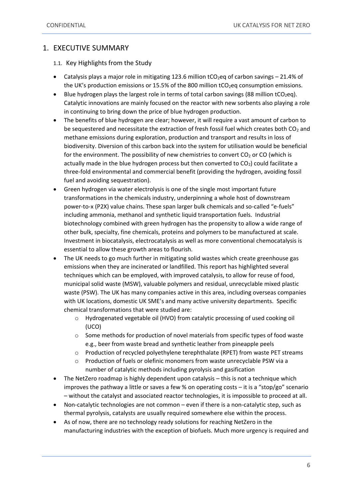#### <span id="page-5-0"></span>1. EXECUTIVE SUMMARY

<span id="page-5-1"></span>1.1. Key Highlights from the Study

- Catalysis plays a major role in mitigating 123.6 million  $tCO_2$ eq of carbon savings 21.4% of the UK's production emissions or 15.5% of the 800 million  $tCO<sub>2</sub>eq$  consumption emissions.
- Blue hydrogen plays the largest role in terms of total carbon savings (88 million tCO<sub>2</sub>eq). Catalytic innovations are mainly focused on the reactor with new sorbents also playing a role in continuing to bring down the price of blue hydrogen production.
- The benefits of blue hydrogen are clear; however, it will require a vast amount of carbon to be sequestered and necessitate the extraction of fresh fossil fuel which creates both  $CO<sub>2</sub>$  and methane emissions during exploration, production and transport and results in loss of biodiversity. Diversion of this carbon back into the system for utilisation would be beneficial for the environment. The possibility of new chemistries to convert  $CO<sub>2</sub>$  or CO (which is actually made in the blue hydrogen process but then converted to  $CO<sub>2</sub>$ ) could facilitate a three-fold environmental and commercial benefit (providing the hydrogen, avoiding fossil fuel and avoiding sequestration).
- Green hydrogen via water electrolysis is one of the single most important future transformations in the chemicals industry, underpinning a whole host of downstream power-to-x (P2X) value chains. These span larger bulk chemicals and so-called "e-fuels" including ammonia, methanol and synthetic liquid transportation fuels. Industrial biotechnology combined with green hydrogen has the propensity to allow a wide range of other bulk, specialty, fine chemicals, proteins and polymers to be manufactured at scale. Investment in biocatalysis, electrocatalysis as well as more conventional chemocatalysis is essential to allow these growth areas to flourish.
- The UK needs to go much further in mitigating solid wastes which create greenhouse gas emissions when they are incinerated or landfilled. This report has highlighted several techniques which can be employed, with improved catalysis, to allow for reuse of food, municipal solid waste (MSW), valuable polymers and residual, unrecyclable mixed plastic waste (PSW). The UK has many companies active in this area, including overseas companies with UK locations, domestic UK SME's and many active university departments. Specific chemical transformations that were studied are:
	- o Hydrogenated vegetable oil (HVO) from catalytic processing of used cooking oil (UCO)
	- $\circ$  Some methods for production of novel materials from specific types of food waste e.g., beer from waste bread and synthetic leather from pineapple peels
	- o Production of recycled polyethylene terephthalate (RPET) from waste PET streams
	- o Production of fuels or olefinic monomers from waste unrecyclable PSW via a number of catalytic methods including pyrolysis and gasification
- The NetZero roadmap is highly dependent upon catalysis this is not a technique which improves the pathway a little or saves a few % on operating costs – it is a "stop/go" scenario – without the catalyst and associated reactor technologies, it is impossible to proceed at all.
- Non-catalytic technologies are not common even if there is a non-catalytic step, such as thermal pyrolysis, catalysts are usually required somewhere else within the process.
- As of now, there are no technology ready solutions for reaching NetZero in the manufacturing industries with the exception of biofuels. Much more urgency is required and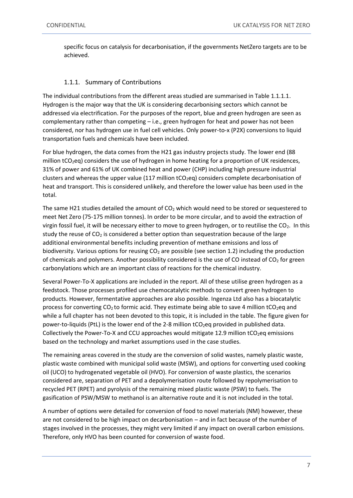specific focus on catalysis for decarbonisation, if the governments NetZero targets are to be achieved.

#### 1.1.1. Summary of Contributions

<span id="page-6-0"></span>The individual contributions from the different areas studied are summarised in Table 1.1.1.1. Hydrogen is the major way that the UK is considering decarbonising sectors which cannot be addressed via electrification. For the purposes of the report, blue and green hydrogen are seen as complementary rather than competing – i.e., green hydrogen for heat and power has not been considered, nor has hydrogen use in fuel cell vehicles. Only power-to-x (P2X) conversions to liquid transportation fuels and chemicals have been included.

For blue hydrogen, the data comes from the H21 gas industry projects study. The lower end (88 million tCO<sub>2</sub>eq) considers the use of hydrogen in home heating for a proportion of UK residences, 31% of power and 61% of UK combined heat and power (CHP) including high pressure industrial clusters and whereas the upper value (117 million  $tCO<sub>2</sub>eq$ ) considers complete decarbonisation of heat and transport. This is considered unlikely, and therefore the lower value has been used in the total.

The same H21 studies detailed the amount of  $CO<sub>2</sub>$  which would need to be stored or sequestered to meet Net Zero (75-175 million tonnes). In order to be more circular, and to avoid the extraction of virgin fossil fuel, it will be necessary either to move to green hydrogen, or to reutilise the CO<sub>2</sub>. In this study the reuse of  $CO<sub>2</sub>$  is considered a better option than sequestration because of the large additional environmental benefits including prevention of methane emissions and loss of biodiversity. Various options for reusing  $CO<sub>2</sub>$  are possible (see section 1.2) including the production of chemicals and polymers. Another possibility considered is the use of CO instead of  $CO<sub>2</sub>$  for green carbonylations which are an important class of reactions for the chemical industry.

Several Power-To-X applications are included in the report. All of these utilise green hydrogen as a feedstock. Those processes profiled use chemocatalytic methods to convert green hydrogen to products. However, fermentative approaches are also possible. Ingenza Ltd also has a biocatalytic process for converting  $CO<sub>2</sub>$  to formic acid. They estimate being able to save 4 million tCO<sub>2</sub>eq and while a full chapter has not been devoted to this topic, it is included in the table. The figure given for power-to-liquids (PtL) is the lower end of the 2-8 million  $tCO_2$ eq provided in published data. Collectively the Power-To-X and CCU approaches would mitigate 12.9 million tCO<sub>2</sub>eq emissions based on the technology and market assumptions used in the case studies.

The remaining areas covered in the study are the conversion of solid wastes, namely plastic waste, plastic waste combined with municipal solid waste (MSW), and options for converting used cooking oil (UCO) to hydrogenated vegetable oil (HVO). For conversion of waste plastics, the scenarios considered are, separation of PET and a depolymerisation route followed by repolymerisation to recycled PET (RPET) and pyrolysis of the remaining mixed plastic waste (PSW) to fuels. The gasification of PSW/MSW to methanol is an alternative route and it is not included in the total.

A number of options were detailed for conversion of food to novel materials (NM) however, these are not considered to be high impact on decarbonisation – and in fact because of the number of stages involved in the processes, they might very limited if any impact on overall carbon emissions. Therefore, only HVO has been counted for conversion of waste food.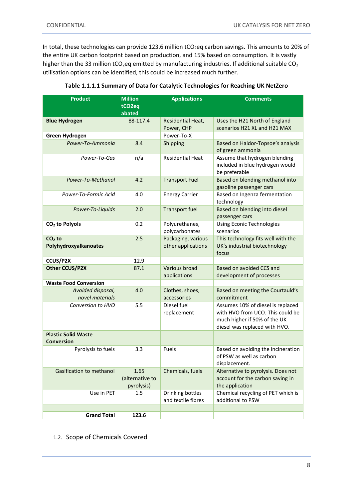In total, these technologies can provide 123.6 million tCO<sub>2</sub>eq carbon savings. This amounts to 20% of the entire UK carbon footprint based on production, and 15% based on consumption. It is vastly higher than the 33 million tCO<sub>2</sub>eq emitted by manufacturing industries. If additional suitable CO<sub>2</sub> utilisation options can be identified, this could be increased much further.

| <b>Product</b>                                  | <b>Million</b><br>tCO <sub>2eq</sub><br>abated | <b>Applications</b>                      | <b>Comments</b>                                                                                                                        |
|-------------------------------------------------|------------------------------------------------|------------------------------------------|----------------------------------------------------------------------------------------------------------------------------------------|
| <b>Blue Hydrogen</b>                            | 88-117.4                                       | Residential Heat,<br>Power, CHP          | Uses the H21 North of England<br>scenarios H21 XL and H21 MAX                                                                          |
| Green Hydrogen                                  |                                                | Power-To-X                               |                                                                                                                                        |
| Power-To-Ammonia                                | 8.4                                            | Shipping                                 | Based on Haldor-Topsoe's analysis<br>of green ammonia                                                                                  |
| Power-To-Gas                                    | n/a                                            | <b>Residential Heat</b>                  | Assume that hydrogen blending<br>included in blue hydrogen would<br>be preferable                                                      |
| Power-To-Methanol                               | 4.2                                            | <b>Transport Fuel</b>                    | Based on blending methanol into<br>gasoline passenger cars                                                                             |
| Power-To-Formic Acid                            | 4.0                                            | <b>Energy Carrier</b>                    | Based on Ingenza fermentation<br>technology                                                                                            |
| Power-To-Liquids                                | 2.0                                            | <b>Transport fuel</b>                    | Based on blending into diesel<br>passenger cars                                                                                        |
| CO <sub>2</sub> to Polyols                      | 0.2                                            | Polyurethanes,<br>polycarbonates         | <b>Using Econic Technologies</b><br>scenarios                                                                                          |
| $CO2$ to<br>Polyhydroxyalkanoates               | 2.5                                            | Packaging, various<br>other applications | This technology fits well with the<br>UK's industrial biotechnology<br>focus                                                           |
| CCUS/P2X                                        | 12.9                                           |                                          |                                                                                                                                        |
| <b>Other CCUS/P2X</b>                           | 87.1                                           | Various broad<br>applications            | Based on avoided CCS and<br>development of processes                                                                                   |
| <b>Waste Food Conversion</b>                    |                                                |                                          |                                                                                                                                        |
| Avoided disposal,<br>novel materials            | 4.0                                            | Clothes, shoes,<br>accessories           | Based on meeting the Courtauld's<br>commitment                                                                                         |
| Conversion to HVO                               | 5.5                                            | Diesel fuel<br>replacement               | Assumes 10% of diesel is replaced<br>with HVO from UCO. This could be<br>much higher if 50% of the UK<br>diesel was replaced with HVO. |
| <b>Plastic Solid Waste</b><br><b>Conversion</b> |                                                |                                          |                                                                                                                                        |
| Pyrolysis to fuels                              | 3.3                                            | Fuels                                    | Based on avoiding the incineration<br>of PSW as well as carbon<br>displacement.                                                        |
| Gasification to methanol                        | 1.65<br>(alternative to<br>pyrolysis)          | Chemicals, fuels                         | Alternative to pyrolysis. Does not<br>account for the carbon saving in<br>the application                                              |
| Use in PET                                      | 1.5                                            | Drinking bottles<br>and textile fibres   | Chemical recycling of PET which is<br>additional to PSW                                                                                |
|                                                 |                                                |                                          |                                                                                                                                        |
| <b>Grand Total</b>                              | 123.6                                          |                                          |                                                                                                                                        |

| Table 1.1.1.1 Summary of Data for Catalytic Technologies for Reaching UK NetZero |
|----------------------------------------------------------------------------------|
|----------------------------------------------------------------------------------|

<span id="page-7-0"></span>1.2. Scope of Chemicals Covered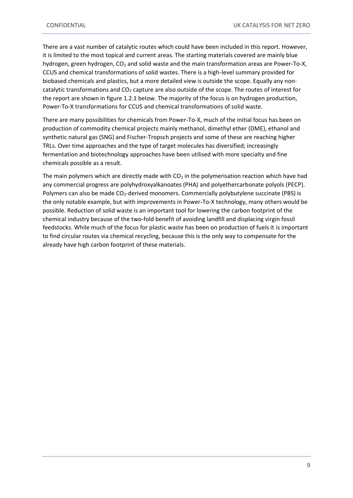There are a vast number of catalytic routes which could have been included in this report. However, it is limited to the most topical and current areas. The starting materials covered are mainly blue hydrogen, green hydrogen,  $CO<sub>2</sub>$  and solid waste and the main transformation areas are Power-To-X, CCUS and chemical transformations of solid wastes. There is a high-level summary provided for biobased chemicals and plastics, but a more detailed view is outside the scope. Equally any noncatalytic transformations and  $CO<sub>2</sub>$  capture are also outside of the scope. The routes of interest for the report are shown in figure 1.2.1 below. The majority of the focus is on hydrogen production, Power-To-X transformations for CCUS and chemical transformations of solid waste.

There are many possibilities for chemicals from Power-To-X, much of the initial focus has been on production of commodity chemical projects mainly methanol, dimethyl ether (DME), ethanol and synthetic natural gas (SNG) and Fischer-Tropsch projects and some of these are reaching higher TRLs. Over time approaches and the type of target molecules has diversified; increasingly fermentation and biotechnology approaches have been utilised with more specialty and fine chemicals possible as a result.

The main polymers which are directly made with  $CO<sub>2</sub>$  in the polymerisation reaction which have had any commercial progress are polyhydroxyalkanoates (PHA) and polyethercarbonate polyols (PECP). Polymers can also be made CO<sub>2</sub>-derived monomers. Commercially polybutylene succinate (PBS) is the only notable example, but with improvements in Power-To-X technology, many others would be possible. Reduction of solid waste is an important tool for lowering the carbon footprint of the chemical industry because of the two-fold benefit of avoiding landfill and displacing virgin fossil feedstocks. While much of the focus for plastic waste has been on production of fuels it is important to find circular routes via chemical recycling, because this is the only way to compensate for the already have high carbon footprint of these materials.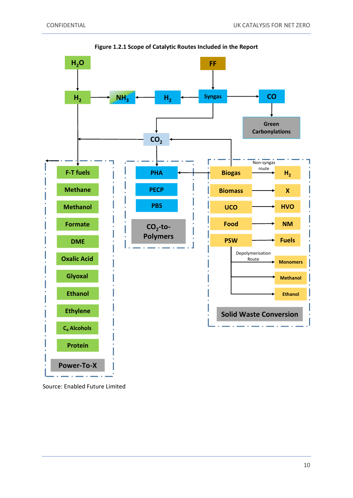

**Figure 1.2.1 Scope of Catalytic Routes Included in the Report**

Source: Enabled Future Limited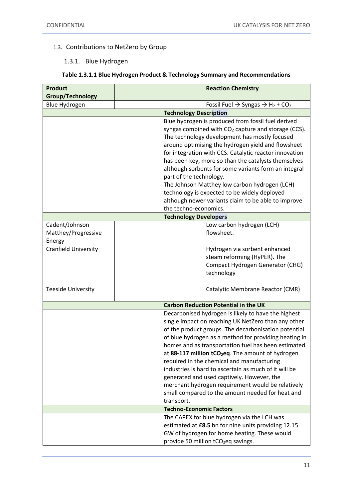## <span id="page-10-1"></span><span id="page-10-0"></span>1.3. Contributions to NetZero by Group

#### 1.3.1. Blue Hydrogen

#### **Table 1.3.1.1 Blue Hydrogen Product & Technology Summary and Recommendations**

| <b>Product</b>              |                                | <b>Reaction Chemistry</b>                                                       |
|-----------------------------|--------------------------------|---------------------------------------------------------------------------------|
| <b>Group/Technology</b>     |                                |                                                                                 |
| Blue Hydrogen               |                                | Fossil Fuel $\rightarrow$ Syngas $\rightarrow$ H <sub>2</sub> + CO <sub>2</sub> |
|                             | <b>Technology Description</b>  |                                                                                 |
|                             |                                | Blue hydrogen is produced from fossil fuel derived                              |
|                             |                                | syngas combined with CO <sub>2</sub> capture and storage (CCS).                 |
|                             |                                | The technology development has mostly focused                                   |
|                             |                                | around optimising the hydrogen yield and flowsheet                              |
|                             |                                | for integration with CCS. Catalytic reactor innovation                          |
|                             |                                | has been key, more so than the catalysts themselves                             |
|                             |                                | although sorbents for some variants form an integral                            |
|                             | part of the technology.        |                                                                                 |
|                             |                                | The Johnson Matthey low carbon hydrogen (LCH)                                   |
|                             |                                | technology is expected to be widely deployed                                    |
|                             |                                | although newer variants claim to be able to improve                             |
|                             | the techno-economics.          |                                                                                 |
|                             | <b>Technology Developers</b>   |                                                                                 |
| Cadent/Johnson              |                                | Low carbon hydrogen (LCH)                                                       |
| Matthey/Progressive         |                                | flowsheet.                                                                      |
| Energy                      |                                |                                                                                 |
| <b>Cranfield University</b> |                                | Hydrogen via sorbent enhanced                                                   |
|                             |                                | steam reforming (HyPER). The                                                    |
|                             |                                | Compact Hydrogen Generator (CHG)                                                |
|                             |                                | technology                                                                      |
| <b>Teeside University</b>   |                                | Catalytic Membrane Reactor (CMR)                                                |
|                             |                                |                                                                                 |
|                             |                                | <b>Carbon Reduction Potential in the UK</b>                                     |
|                             |                                | Decarbonised hydrogen is likely to have the highest                             |
|                             |                                | single impact on reaching UK NetZero than any other                             |
|                             |                                | of the product groups. The decarbonisation potential                            |
|                             |                                | of blue hydrogen as a method for providing heating in                           |
|                             |                                | homes and as transportation fuel has been estimated                             |
|                             |                                | at 88-117 million tCO <sub>2</sub> eq. The amount of hydrogen                   |
|                             |                                | required in the chemical and manufacturing                                      |
|                             |                                | industries is hard to ascertain as much of it will be                           |
|                             |                                | generated and used captively. However, the                                      |
|                             |                                | merchant hydrogen requirement would be relatively                               |
|                             |                                | small compared to the amount needed for heat and                                |
|                             | transport.                     |                                                                                 |
|                             | <b>Techno-Economic Factors</b> |                                                                                 |
|                             |                                | The CAPEX for blue hydrogen via the LCH was                                     |
|                             |                                | estimated at £8.5 bn for nine units providing 12.15                             |
|                             |                                | GW of hydrogen for home heating. These would                                    |
|                             |                                | provide 50 million tCO <sub>2</sub> eq savings.                                 |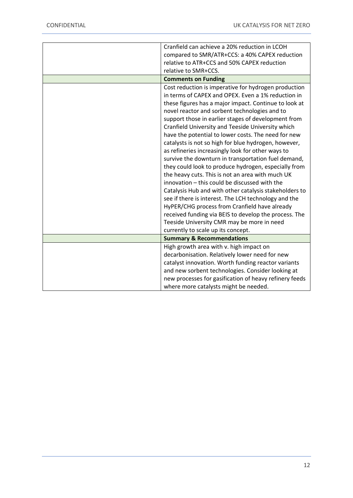| Cranfield can achieve a 20% reduction in LCOH          |
|--------------------------------------------------------|
| compared to SMR/ATR+CCS: a 40% CAPEX reduction         |
| relative to ATR+CCS and 50% CAPEX reduction            |
| relative to SMR+CCS.                                   |
| <b>Comments on Funding</b>                             |
| Cost reduction is imperative for hydrogen production   |
| in terms of CAPEX and OPEX. Even a 1% reduction in     |
| these figures has a major impact. Continue to look at  |
| novel reactor and sorbent technologies and to          |
| support those in earlier stages of development from    |
| Cranfield University and Teeside University which      |
| have the potential to lower costs. The need for new    |
| catalysts is not so high for blue hydrogen, however,   |
| as refineries increasingly look for other ways to      |
| survive the downturn in transportation fuel demand,    |
| they could look to produce hydrogen, especially from   |
| the heavy cuts. This is not an area with much UK       |
| innovation - this could be discussed with the          |
| Catalysis Hub and with other catalysis stakeholders to |
| see if there is interest. The LCH technology and the   |
| HyPER/CHG process from Cranfield have already          |
| received funding via BEIS to develop the process. The  |
| Teeside University CMR may be more in need             |
| currently to scale up its concept.                     |
| <b>Summary &amp; Recommendations</b>                   |
| High growth area with v. high impact on                |
| decarbonisation. Relatively lower need for new         |
| catalyst innovation. Worth funding reactor variants    |
| and new sorbent technologies. Consider looking at      |
| new processes for gasification of heavy refinery feeds |
| where more catalysts might be needed.                  |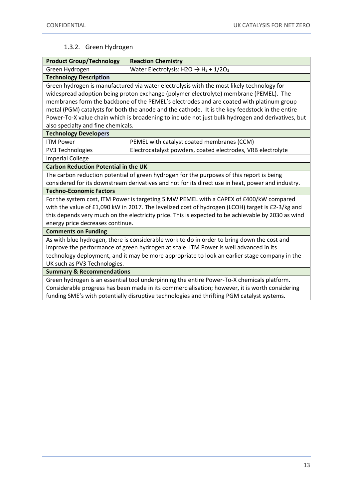## 1.3.2. Green Hydrogen

<span id="page-12-0"></span>

| <b>Product Group/Technology</b><br><b>Reaction Chemistry</b>                                       |                                                                                                   |  |  |
|----------------------------------------------------------------------------------------------------|---------------------------------------------------------------------------------------------------|--|--|
| Water Electrolysis: H2O $\rightarrow$ H <sub>2</sub> + 1/2O <sub>2</sub><br>Green Hydrogen         |                                                                                                   |  |  |
| <b>Technology Description</b>                                                                      |                                                                                                   |  |  |
|                                                                                                    | Green hydrogen is manufactured via water electrolysis with the most likely technology for         |  |  |
|                                                                                                    | widespread adoption being proton exchange (polymer electrolyte) membrane (PEMEL). The             |  |  |
|                                                                                                    | membranes form the backbone of the PEMEL's electrodes and are coated with platinum group          |  |  |
|                                                                                                    | metal (PGM) catalysts for both the anode and the cathode. It is the key feedstock in the entire   |  |  |
|                                                                                                    | Power-To-X value chain which is broadening to include not just bulk hydrogen and derivatives, but |  |  |
| also specialty and fine chemicals.                                                                 |                                                                                                   |  |  |
| <b>Technology Developers</b>                                                                       |                                                                                                   |  |  |
| <b>ITM Power</b>                                                                                   | PEMEL with catalyst coated membranes (CCM)                                                        |  |  |
| <b>PV3 Technologies</b>                                                                            | Electrocatalyst powders, coated electrodes, VRB electrolyte                                       |  |  |
| <b>Imperial College</b>                                                                            |                                                                                                   |  |  |
| <b>Carbon Reduction Potential in the UK</b>                                                        |                                                                                                   |  |  |
|                                                                                                    | The carbon reduction potential of green hydrogen for the purposes of this report is being         |  |  |
|                                                                                                    | considered for its downstream derivatives and not for its direct use in heat, power and industry. |  |  |
| <b>Techno-Economic Factors</b>                                                                     |                                                                                                   |  |  |
|                                                                                                    | For the system cost, ITM Power is targeting 5 MW PEMEL with a CAPEX of £400/kW compared           |  |  |
|                                                                                                    | with the value of £1,090 kW in 2017. The levelized cost of hydrogen (LCOH) target is £2-3/kg and  |  |  |
| this depends very much on the electricity price. This is expected to be achievable by 2030 as wind |                                                                                                   |  |  |
| energy price decreases continue.                                                                   |                                                                                                   |  |  |
| <b>Comments on Funding</b>                                                                         |                                                                                                   |  |  |
| As with blue hydrogen, there is considerable work to do in order to bring down the cost and        |                                                                                                   |  |  |
| improve the performance of green hydrogen at scale. ITM Power is well advanced in its              |                                                                                                   |  |  |
| technology deployment, and it may be more appropriate to look an earlier stage company in the      |                                                                                                   |  |  |
| UK such as PV3 Technologies.                                                                       |                                                                                                   |  |  |
| <b>Summary &amp; Recommendations</b>                                                               |                                                                                                   |  |  |
| Green hydrogen is an essential tool underpinning the entire Power-To-X chemicals platform.         |                                                                                                   |  |  |
| Considerable progress has been made in its commercialisation; however, it is worth considering     |                                                                                                   |  |  |
| funding SME's with potentially disruptive technologies and thrifting PGM catalyst systems.         |                                                                                                   |  |  |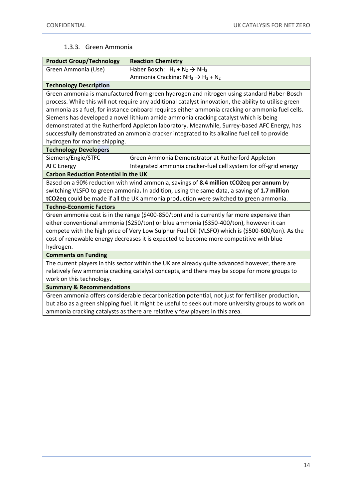#### 1.3.3. Green Ammonia

<span id="page-13-0"></span>

| <b>Product Group/Technology</b>                                                                     | <b>Reaction Chemistry</b>                                                                             |  |  |
|-----------------------------------------------------------------------------------------------------|-------------------------------------------------------------------------------------------------------|--|--|
| Green Ammonia (Use)<br>Haber Bosch: $H_2 + N_2 \rightarrow NH_3$                                    |                                                                                                       |  |  |
|                                                                                                     | Ammonia Cracking: $NH_3 \rightarrow H_2 + N_2$                                                        |  |  |
| <b>Technology Description</b>                                                                       |                                                                                                       |  |  |
|                                                                                                     | Green ammonia is manufactured from green hydrogen and nitrogen using standard Haber-Bosch             |  |  |
|                                                                                                     | process. While this will not require any additional catalyst innovation, the ability to utilise green |  |  |
|                                                                                                     | ammonia as a fuel, for instance onboard requires either ammonia cracking or ammonia fuel cells.       |  |  |
|                                                                                                     | Siemens has developed a novel lithium amide ammonia cracking catalyst which is being                  |  |  |
|                                                                                                     | demonstrated at the Rutherford Appleton laboratory. Meanwhile, Surrey-based AFC Energy, has           |  |  |
|                                                                                                     | successfully demonstrated an ammonia cracker integrated to its alkaline fuel cell to provide          |  |  |
| hydrogen for marine shipping.                                                                       |                                                                                                       |  |  |
| <b>Technology Developers</b>                                                                        |                                                                                                       |  |  |
| Siemens/Engie/STFC                                                                                  | Green Ammonia Demonstrator at Rutherford Appleton                                                     |  |  |
| <b>AFC Energy</b>                                                                                   | Integrated ammonia cracker-fuel cell system for off-grid energy                                       |  |  |
| <b>Carbon Reduction Potential in the UK</b>                                                         |                                                                                                       |  |  |
| Based on a 90% reduction with wind ammonia, savings of 8.4 million tCO2eq per annum by              |                                                                                                       |  |  |
|                                                                                                     | switching VLSFO to green ammonia. In addition, using the same data, a saving of 1.7 million           |  |  |
|                                                                                                     | tCO2eq could be made if all the UK ammonia production were switched to green ammonia.                 |  |  |
| <b>Techno-Economic Factors</b>                                                                      |                                                                                                       |  |  |
| Green ammonia cost is in the range (\$400-850/ton) and is currently far more expensive than         |                                                                                                       |  |  |
| either conventional ammonia (\$250/ton) or blue ammonia (\$350-400/ton), however it can             |                                                                                                       |  |  |
| compete with the high price of Very Low Sulphur Fuel Oil (VLSFO) which is (\$500-600/ton). As the   |                                                                                                       |  |  |
| cost of renewable energy decreases it is expected to become more competitive with blue              |                                                                                                       |  |  |
| hydrogen.                                                                                           |                                                                                                       |  |  |
| <b>Comments on Funding</b>                                                                          |                                                                                                       |  |  |
| The current players in this sector within the UK are already quite advanced however, there are      |                                                                                                       |  |  |
| relatively few ammonia cracking catalyst concepts, and there may be scope for more groups to        |                                                                                                       |  |  |
| work on this technology.                                                                            |                                                                                                       |  |  |
| <b>Summary &amp; Recommendations</b>                                                                |                                                                                                       |  |  |
| Green ammonia offers considerable decarbonisation potential, not just for fertiliser production,    |                                                                                                       |  |  |
| but also as a green shipping fuel. It might be useful to seek out more university groups to work on |                                                                                                       |  |  |

ammonia cracking catalysts as there are relatively few players in this area.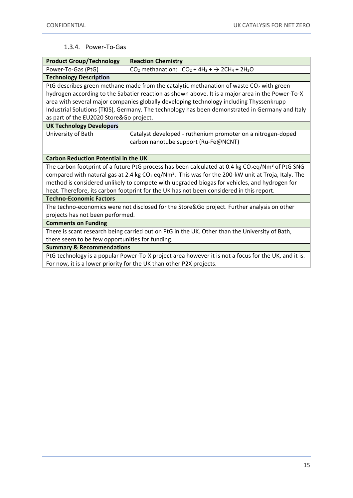#### 1.3.4. Power-To-Gas

<span id="page-14-0"></span>

| <b>Product Group/Technology</b>                                                                                  | <b>Reaction Chemistry</b>                                                                                       |  |
|------------------------------------------------------------------------------------------------------------------|-----------------------------------------------------------------------------------------------------------------|--|
| Power-To-Gas (PtG)                                                                                               | $CO2$ methanation: $CO2 + 4H2 + \rightarrow 2CH4 + 2H2O$                                                        |  |
| <b>Technology Description</b>                                                                                    |                                                                                                                 |  |
|                                                                                                                  | PtG describes green methane made from the catalytic methanation of waste CO <sub>2</sub> with green             |  |
|                                                                                                                  | hydrogen according to the Sabatier reaction as shown above. It is a major area in the Power-To-X                |  |
|                                                                                                                  | area with several major companies globally developing technology including Thyssenkrupp                         |  |
|                                                                                                                  | Industrial Solutions (TKIS), Germany. The technology has been demonstrated in Germany and Italy                 |  |
| as part of the EU2020 Store&Go project.                                                                          |                                                                                                                 |  |
| <b>UK Technology Developers</b>                                                                                  |                                                                                                                 |  |
| University of Bath                                                                                               | Catalyst developed - ruthenium promoter on a nitrogen-doped                                                     |  |
|                                                                                                                  | carbon nanotube support (Ru-Fe@NCNT)                                                                            |  |
|                                                                                                                  |                                                                                                                 |  |
| <b>Carbon Reduction Potential in the UK</b>                                                                      |                                                                                                                 |  |
|                                                                                                                  | The carbon footprint of a future PtG process has been calculated at 0.4 kg $CO_2$ eq/Nm <sup>3</sup> of PtG SNG |  |
| compared with natural gas at 2.4 kg $CO2$ eq/Nm <sup>3</sup> . This was for the 200-kW unit at Troja, Italy. The |                                                                                                                 |  |
|                                                                                                                  | method is considered unlikely to compete with upgraded biogas for vehicles, and hydrogen for                    |  |
| heat. Therefore, its carbon footprint for the UK has not been considered in this report.                         |                                                                                                                 |  |
| <b>Techno-Economic Factors</b>                                                                                   |                                                                                                                 |  |
| The techno-economics were not disclosed for the Store&Go project. Further analysis on other                      |                                                                                                                 |  |
| projects has not been performed.                                                                                 |                                                                                                                 |  |
| <b>Comments on Funding</b>                                                                                       |                                                                                                                 |  |
| There is scant research being carried out on PtG in the UK. Other than the University of Bath,                   |                                                                                                                 |  |
| there seem to be few opportunities for funding.                                                                  |                                                                                                                 |  |
| <b>Summary &amp; Recommendations</b>                                                                             |                                                                                                                 |  |
| PtG technology is a popular Power-To-X project area however it is not a focus for the UK, and it is.             |                                                                                                                 |  |
| For now, it is a lower priority for the UK than other P2X projects.                                              |                                                                                                                 |  |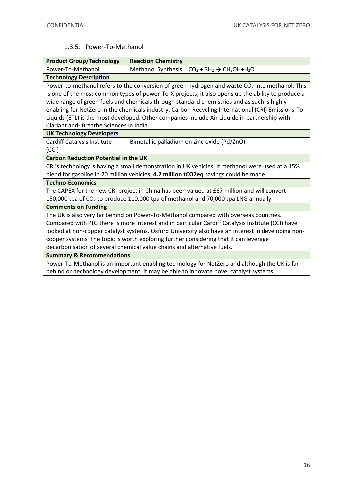#### 1.3.5. Power-To-Methanol

<span id="page-15-0"></span>

| <b>Product Group/Technology</b>                                                                   | <b>Reaction Chemistry</b>                                                                                  |  |  |
|---------------------------------------------------------------------------------------------------|------------------------------------------------------------------------------------------------------------|--|--|
| Power-To-Methanol                                                                                 | Methanol Synthesis: $CO_2 + 3H_2 \rightarrow CH_3OH + H_2O$                                                |  |  |
| <b>Technology Description</b>                                                                     |                                                                                                            |  |  |
|                                                                                                   | Power-to-methanol refers to the conversion of green hydrogen and waste CO <sub>2</sub> into methanol. This |  |  |
|                                                                                                   | is one of the most common types of power-To-X projects, it also opens up the ability to produce a          |  |  |
|                                                                                                   | wide range of green fuels and chemicals through standard chemistries and as such is highly                 |  |  |
|                                                                                                   | enabling for NetZero in the chemicals industry. Carbon Recycling International (CRI) Emissions-To-         |  |  |
|                                                                                                   | Liquids (ETL) is the most developed. Other companies include Air Liquide in partnership with               |  |  |
| Clariant and-Breathe Sciences in India.                                                           |                                                                                                            |  |  |
| <b>UK Technology Developers</b>                                                                   |                                                                                                            |  |  |
| <b>Cardiff Catalysis Institute</b>                                                                | Bimetallic palladium on zinc oxide (Pd/ZnO).                                                               |  |  |
| (CCI)                                                                                             |                                                                                                            |  |  |
| <b>Carbon Reduction Potential in the UK</b>                                                       |                                                                                                            |  |  |
| CRI's technology is having a small demonstration in UK vehicles. If methanol were used at a 15%   |                                                                                                            |  |  |
| blend for gasoline in 20 million vehicles, 4.2 million tCO2eq savings could be made.              |                                                                                                            |  |  |
| <b>Techno-Economics</b>                                                                           |                                                                                                            |  |  |
| The CAPEX for the new CRI project in China has been valued at £67 million and will convert        |                                                                                                            |  |  |
| 150,000 tpa of CO <sub>2</sub> to produce 110,000 tpa of methanol and 70,000 tpa LNG annually.    |                                                                                                            |  |  |
| <b>Comments on Funding</b>                                                                        |                                                                                                            |  |  |
| The UK is also very far behind on Power-To-Methanol compared with overseas countries.             |                                                                                                            |  |  |
| Compared with PtG there is more interest and in particular Cardiff Catalysis Institute (CCI) have |                                                                                                            |  |  |
| looked at non-copper catalyst systems. Oxford University also have an interest in developing non- |                                                                                                            |  |  |
| copper systems. The topic is worth exploring further considering that it can leverage             |                                                                                                            |  |  |
| decarbonisation of several chemical value chains and alternative fuels.                           |                                                                                                            |  |  |
| <b>Summary &amp; Recommendations</b>                                                              |                                                                                                            |  |  |
| Power-To-Methanol is an important enabling technology for NetZero and although the UK is far      |                                                                                                            |  |  |
| behind on technology development, it may be able to innovate novel catalyst systems.              |                                                                                                            |  |  |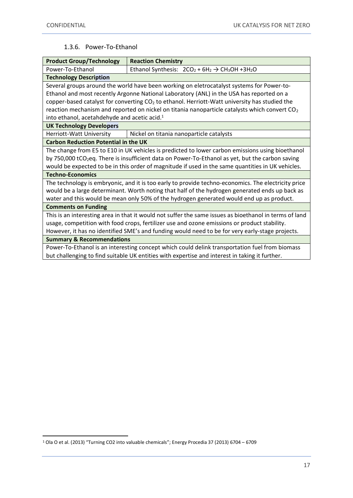## 1.3.6. Power-To-Ethanol

<span id="page-16-0"></span>

| <b>Product Group/Technology</b>                                                                              | <b>Reaction Chemistry</b>                                                                                 |  |
|--------------------------------------------------------------------------------------------------------------|-----------------------------------------------------------------------------------------------------------|--|
| Power-To-Ethanol                                                                                             | Ethanol Synthesis: $2CO_2 + 6H_2 \rightarrow CH_3OH + 3H_2O$                                              |  |
| <b>Technology Description</b>                                                                                |                                                                                                           |  |
|                                                                                                              | Several groups around the world have been working on eletrocatalyst systems for Power-to-                 |  |
|                                                                                                              | Ethanol and most recently Argonne National Laboratory (ANL) in the USA has reported on a                  |  |
|                                                                                                              | copper-based catalyst for converting $CO2$ to ethanol. Herriott-Watt university has studied the           |  |
|                                                                                                              | reaction mechanism and reported on nickel on titania nanoparticle catalysts which convert CO <sub>2</sub> |  |
| into ethanol, acetahdehyde and acetic acid. <sup>1</sup>                                                     |                                                                                                           |  |
| <b>UK Technology Developers</b>                                                                              |                                                                                                           |  |
| Herriott-Watt University                                                                                     | Nickel on titania nanoparticle catalysts                                                                  |  |
| <b>Carbon Reduction Potential in the UK</b>                                                                  |                                                                                                           |  |
|                                                                                                              | The change from E5 to E10 in UK vehicles is predicted to lower carbon emissions using bioethanol          |  |
| by 750,000 tCO <sub>2</sub> eq. There is insufficient data on Power-To-Ethanol as yet, but the carbon saving |                                                                                                           |  |
| would be expected to be in this order of magnitude if used in the same quantities in UK vehicles.            |                                                                                                           |  |
| <b>Techno-Economics</b>                                                                                      |                                                                                                           |  |
| The technology is embryonic, and it is too early to provide techno-economics. The electricity price          |                                                                                                           |  |
| would be a large determinant. Worth noting that half of the hydrogen generated ends up back as               |                                                                                                           |  |
| water and this would be mean only 50% of the hydrogen generated would end up as product.                     |                                                                                                           |  |
| <b>Comments on Funding</b>                                                                                   |                                                                                                           |  |
| This is an interesting area in that it would not suffer the same issues as bioethanol in terms of land       |                                                                                                           |  |
| usage, competition with food crops, fertilizer use and ozone emissions or product stability.                 |                                                                                                           |  |
| However, it has no identified SME's and funding would need to be for very early-stage projects.              |                                                                                                           |  |
| <b>Summary &amp; Recommendations</b>                                                                         |                                                                                                           |  |
| Power-To-Ethanol is an interesting concept which could delink transportation fuel from biomass               |                                                                                                           |  |
| but challenging to find suitable UK entities with expertise and interest in taking it further.               |                                                                                                           |  |

<sup>1</sup> Ola O et al. (2013) "Turning CO2 into valuable chemicals"; Energy Procedia 37 (2013) 6704 – 6709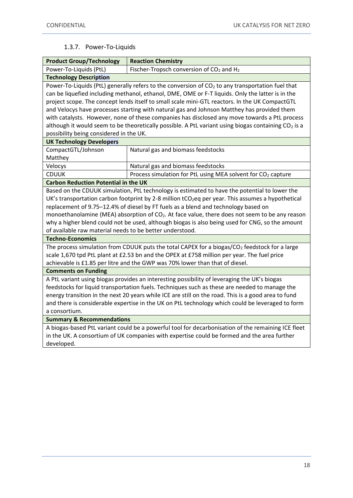## 1.3.7. Power-To-Liquids

<span id="page-17-0"></span>

| <b>Product Group/Technology</b>                                                                            | <b>Reaction Chemistry</b>                                                                                       |  |
|------------------------------------------------------------------------------------------------------------|-----------------------------------------------------------------------------------------------------------------|--|
| Power-To-Liquids (PtL)                                                                                     | Fischer-Tropsch conversion of CO <sub>2</sub> and H <sub>2</sub>                                                |  |
| <b>Technology Description</b>                                                                              |                                                                                                                 |  |
| Power-To-Liquids (PtL) generally refers to the conversion of $CO2$ to any transportation fuel that         |                                                                                                                 |  |
|                                                                                                            | can be liquefied including methanol, ethanol, DME, OME or F-T liquids. Only the latter is in the                |  |
|                                                                                                            | project scope. The concept lends itself to small scale mini-GTL reactors. In the UK CompactGTL                  |  |
| and Velocys have processes starting with natural gas and Johnson Matthey has provided them                 |                                                                                                                 |  |
|                                                                                                            | with catalysts. However, none of these companies has disclosed any move towards a PtL process                   |  |
|                                                                                                            | although it would seem to be theoretically possible. A PtL variant using biogas containing CO <sub>2</sub> is a |  |
| possibility being considered in the UK.                                                                    |                                                                                                                 |  |
| <b>UK Technology Developers</b>                                                                            |                                                                                                                 |  |
| CompactGTL/Johnson                                                                                         | Natural gas and biomass feedstocks                                                                              |  |
| Matthey                                                                                                    |                                                                                                                 |  |
| Velocys                                                                                                    | Natural gas and biomass feedstocks                                                                              |  |
| <b>CDUUK</b>                                                                                               | Process simulation for PtL using MEA solvent for CO <sub>2</sub> capture                                        |  |
| <b>Carbon Reduction Potential in the UK</b>                                                                |                                                                                                                 |  |
|                                                                                                            | Based on the CDUUK simulation, PtL technology is estimated to have the potential to lower the                   |  |
|                                                                                                            | UK's transportation carbon footprint by 2-8 million tCO <sub>2</sub> eq per year. This assumes a hypothetical   |  |
| replacement of 9.75-12.4% of diesel by FT fuels as a blend and technology based on                         |                                                                                                                 |  |
| monoethanolamine (MEA) absorption of CO <sub>2</sub> . At face value, there does not seem to be any reason |                                                                                                                 |  |
| why a higher blend could not be used, although biogas is also being used for CNG, so the amount            |                                                                                                                 |  |
| of available raw material needs to be better understood.                                                   |                                                                                                                 |  |
| <b>Techno-Economics</b>                                                                                    |                                                                                                                 |  |
| The process simulation from CDUUK puts the total CAPEX for a biogas/ $CO2$ feedstock for a large           |                                                                                                                 |  |
| scale 1,670 tpd PtL plant at £2.53 bn and the OPEX at £758 million per year. The fuel price                |                                                                                                                 |  |
| achievable is £1.85 per litre and the GWP was 70% lower than that of diesel.                               |                                                                                                                 |  |
| <b>Comments on Funding</b>                                                                                 |                                                                                                                 |  |
| A PtL variant using biogas provides an interesting possibility of leveraging the UK's biogas               |                                                                                                                 |  |
| feedstocks for liquid transportation fuels. Techniques such as these are needed to manage the              |                                                                                                                 |  |
| energy transition in the next 20 years while ICE are still on the road. This is a good area to fund        |                                                                                                                 |  |
| and there is considerable expertise in the UK on PtL technology which could be leveraged to form           |                                                                                                                 |  |
| a consortium.                                                                                              |                                                                                                                 |  |
| <b>Summary &amp; Recommendations</b>                                                                       |                                                                                                                 |  |
| A biogas-based PtL variant could be a powerful tool for decarbonisation of the remaining ICE fleet         |                                                                                                                 |  |
|                                                                                                            | in the UK. A consortium of UK companies with expertise could be formed and the area further                     |  |
| developed.                                                                                                 |                                                                                                                 |  |
|                                                                                                            |                                                                                                                 |  |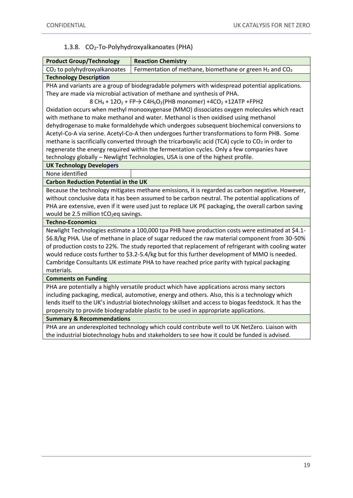## 1.3.8. CO2-To-Polyhydroxyalkanoates (PHA)

<span id="page-18-0"></span>

| <b>Product Group/Technology</b>                                                                                                      | <b>Reaction Chemistry</b>                                                                          |  |  |
|--------------------------------------------------------------------------------------------------------------------------------------|----------------------------------------------------------------------------------------------------|--|--|
| CO <sub>2</sub> to polyhydroxyalkanoates                                                                                             | Fermentation of methane, biomethane or green $H_2$ and CO <sub>2</sub>                             |  |  |
| <b>Technology Description</b>                                                                                                        |                                                                                                    |  |  |
|                                                                                                                                      | PHA and variants are a group of biodegradable polymers with widespread potential applications.     |  |  |
|                                                                                                                                      | They are made via microbial activation of methane and synthesis of PHA.                            |  |  |
| 8 CH <sub>4</sub> + 12O <sub>2</sub> + FP $\rightarrow$ C4H <sub>6</sub> O <sub>2</sub> (PHB monomer) +4CO <sub>2</sub> +12ATP +FPH2 |                                                                                                    |  |  |
| Oxidation occurs when methyl monooxygenase (MMO) dissociates oxygen molecules which react                                            |                                                                                                    |  |  |
| with methane to make methanol and water. Methanol is then oxidised using methanol                                                    |                                                                                                    |  |  |
|                                                                                                                                      | dehydrogenase to make formaldehyde which undergoes subsequent biochemical conversions to           |  |  |
|                                                                                                                                      | Acetyl-Co-A via serine. Acetyl-Co-A then undergoes further transformations to form PHB. Some       |  |  |
| methane is sacrificially converted through the tricarboxylic acid (TCA) cycle to CO <sub>2</sub> in order to                         |                                                                                                    |  |  |
| regenerate the energy required within the fermentation cycles. Only a few companies have                                             |                                                                                                    |  |  |
| technology globally - Newlight Technologies, USA is one of the highest profile.                                                      |                                                                                                    |  |  |
| <b>UK Technology Developers</b>                                                                                                      |                                                                                                    |  |  |
| None identified                                                                                                                      |                                                                                                    |  |  |
| <b>Carbon Reduction Potential in the UK</b>                                                                                          |                                                                                                    |  |  |
|                                                                                                                                      | Because the technology mitigates methane emissions, it is regarded as carbon negative. However,    |  |  |
|                                                                                                                                      | without conclusive data it has been assumed to be carbon neutral. The potential applications of    |  |  |
|                                                                                                                                      | PHA are extensive, even if it were used just to replace UK PE packaging, the overall carbon saving |  |  |
| would be 2.5 million tCO <sub>2</sub> eq savings.                                                                                    |                                                                                                    |  |  |
| <b>Techno-Economics</b>                                                                                                              |                                                                                                    |  |  |
|                                                                                                                                      | Newlight Technologies estimate a 100,000 tpa PHB have production costs were estimated at \$4.1-    |  |  |
|                                                                                                                                      | \$6.8/kg PHA. Use of methane in place of sugar reduced the raw material component from 30-50%      |  |  |
| of production costs to 22%. The study reported that replacement of refrigerant with cooling water                                    |                                                                                                    |  |  |
| would reduce costs further to \$3.2-5.4/kg but for this further development of MMO is needed.                                        |                                                                                                    |  |  |
| Cambridge Consultants UK estimate PHA to have reached price parity with typical packaging                                            |                                                                                                    |  |  |
| materials.                                                                                                                           |                                                                                                    |  |  |
| <b>Comments on Funding</b>                                                                                                           |                                                                                                    |  |  |
| PHA are potentially a highly versatile product which have applications across many sectors                                           |                                                                                                    |  |  |
| including packaging, medical, automotive, energy and others. Also, this is a technology which                                        |                                                                                                    |  |  |
| lends itself to the UK's industrial biotechnology skillset and access to biogas feedstock. It has the                                |                                                                                                    |  |  |
| propensity to provide biodegradable plastic to be used in appropriate applications.                                                  |                                                                                                    |  |  |
| <b>Summary &amp; Recommendations</b>                                                                                                 |                                                                                                    |  |  |
| PHA are an underexploited technology which could contribute well to UK NetZero. Liaison with                                         |                                                                                                    |  |  |
|                                                                                                                                      | the industrial biotechnology hubs and stakeholders to see how it could be funded is advised.       |  |  |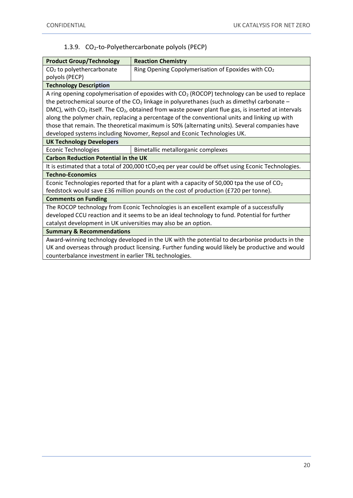## 1.3.9. CO2-to-Polyethercarbonate polyols (PECP)

<span id="page-19-0"></span>

| <b>Product Group/Technology</b>                                                                                 | <b>Reaction Chemistry</b>                                      |  |
|-----------------------------------------------------------------------------------------------------------------|----------------------------------------------------------------|--|
| CO <sub>2</sub> to polyethercarbonate                                                                           | Ring Opening Copolymerisation of Epoxides with CO <sub>2</sub> |  |
| polyols (PECP)                                                                                                  |                                                                |  |
| <b>Technology Description</b>                                                                                   |                                                                |  |
| A ring opening copolymerisation of epoxides with $CO2$ (ROCOP) technology can be used to replace                |                                                                |  |
| the petrochemical source of the $CO2$ linkage in polyurethanes (such as dimethyl carbonate –                    |                                                                |  |
| DMC), with $CO2$ itself. The $CO2$ , obtained from waste power plant flue gas, is inserted at intervals         |                                                                |  |
| along the polymer chain, replacing a percentage of the conventional units and linking up with                   |                                                                |  |
| those that remain. The theoretical maximum is 50% (alternating units). Several companies have                   |                                                                |  |
| developed systems including Novomer, Repsol and Econic Technologies UK.                                         |                                                                |  |
| <b>UK Technology Developers</b>                                                                                 |                                                                |  |
| <b>Econic Technologies</b>                                                                                      | Bimetallic metallorganic complexes                             |  |
| <b>Carbon Reduction Potential in the UK</b>                                                                     |                                                                |  |
| It is estimated that a total of 200,000 tCO <sub>2</sub> eq per year could be offset using Econic Technologies. |                                                                |  |
| <b>Techno-Economics</b>                                                                                         |                                                                |  |
| Econic Technologies reported that for a plant with a capacity of 50,000 tpa the use of $CO2$                    |                                                                |  |
| feedstock would save £36 million pounds on the cost of production (£720 per tonne).                             |                                                                |  |
| <b>Comments on Funding</b>                                                                                      |                                                                |  |
| The ROCOP technology from Econic Technologies is an excellent example of a successfully                         |                                                                |  |
| developed CCU reaction and it seems to be an ideal technology to fund. Potential for further                    |                                                                |  |
| catalyst development in UK universities may also be an option.                                                  |                                                                |  |
| <b>Summary &amp; Recommendations</b>                                                                            |                                                                |  |
| Award-winning technology developed in the UK with the potential to decarbonise products in the                  |                                                                |  |
| UK and overseas through product licensing. Further funding would likely be productive and would                 |                                                                |  |
| counterbalance investment in earlier TRL technologies.                                                          |                                                                |  |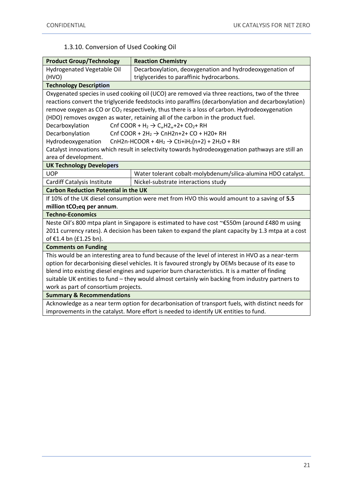## 1.3.10. Conversion of Used Cooking Oil

<span id="page-20-0"></span>

| <b>Product Group/Technology</b>                                                                         | <b>Reaction Chemistry</b>                                                                          |  |
|---------------------------------------------------------------------------------------------------------|----------------------------------------------------------------------------------------------------|--|
| <b>Hydrogenated Vegetable Oil</b>                                                                       | Decarboxylation, deoxygenation and hydrodeoxygenation of                                           |  |
| (HVO)                                                                                                   | triglycerides to paraffinic hydrocarbons.                                                          |  |
| <b>Technology Description</b>                                                                           |                                                                                                    |  |
|                                                                                                         | Oxygenated species in used cooking oil (UCO) are removed via three reactions, two of the three     |  |
| reactions convert the triglyceride feedstocks into paraffins (decarbonylation and decarboxylation)      |                                                                                                    |  |
| remove oxygen as CO or CO <sub>2</sub> respectively, thus there is a loss of carbon. Hydrodeoxygenation |                                                                                                    |  |
|                                                                                                         | (HDO) removes oxygen as water, retaining all of the carbon in the product fuel.                    |  |
| Decarboxylation                                                                                         | Cnf COOR + H <sub>2</sub> $\rightarrow$ C <sub>n</sub> H2 <sub>n</sub> +2+ CO <sub>2</sub> + RH    |  |
| Decarbonylation                                                                                         | Cnf COOR + $2H_2 \rightarrow$ CnH2n+2+ CO + H20+ RH                                                |  |
| Hydrodeoxygenation                                                                                      | CnH2n-HCOOR + 4H <sub>2</sub> $\rightarrow$ Cti+iH <sub>2</sub> (n+2) + 2H <sub>2</sub> O + RH     |  |
|                                                                                                         | Catalyst innovations which result in selectivity towards hydrodeoxygenation pathways are still an  |  |
| area of development.                                                                                    |                                                                                                    |  |
| <b>UK Technology Developers</b>                                                                         |                                                                                                    |  |
| <b>UOP</b>                                                                                              | Water tolerant cobalt-molybdenum/silica-alumina HDO catalyst.                                      |  |
| <b>Cardiff Catalysis Institute</b>                                                                      | Nickel-substrate interactions study                                                                |  |
| <b>Carbon Reduction Potential in the UK</b>                                                             |                                                                                                    |  |
|                                                                                                         | If 10% of the UK diesel consumption were met from HVO this would amount to a saving of 5.5         |  |
| million tCO <sub>2</sub> eq per annum.                                                                  |                                                                                                    |  |
| <b>Techno-Economics</b>                                                                                 |                                                                                                    |  |
|                                                                                                         | Neste Oil's 800 mtpa plant in Singapore is estimated to have cost ~€550m (around £480 m using      |  |
|                                                                                                         | 2011 currency rates). A decision has been taken to expand the plant capacity by 1.3 mtpa at a cost |  |
| of €1.4 bn (£1.25 bn).                                                                                  |                                                                                                    |  |
| <b>Comments on Funding</b>                                                                              |                                                                                                    |  |
| This would be an interesting area to fund because of the level of interest in HVO as a near-term        |                                                                                                    |  |
| option for decarbonising diesel vehicles. It is favoured strongly by OEMs because of its ease to        |                                                                                                    |  |
| blend into existing diesel engines and superior burn characteristics. It is a matter of finding         |                                                                                                    |  |
| suitable UK entities to fund - they would almost certainly win backing from industry partners to        |                                                                                                    |  |
| work as part of consortium projects.                                                                    |                                                                                                    |  |
| <b>Summary &amp; Recommendations</b>                                                                    |                                                                                                    |  |
| Acknowledge as a near term option for decarbonisation of transport fuels, with distinct needs for       |                                                                                                    |  |
|                                                                                                         | improvements in the catalyst. More effort is needed to identify UK entities to fund.               |  |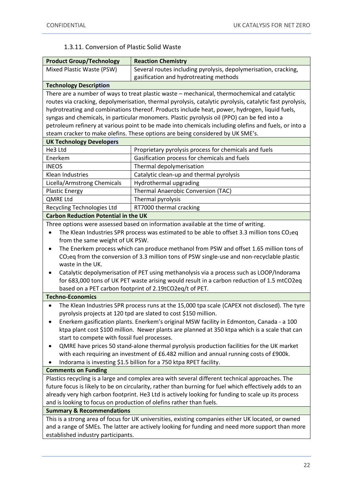## 1.3.11. Conversion of Plastic Solid Waste

<span id="page-21-0"></span>

| <b>Product Group/Technology</b>                                                                                                            | <b>Reaction Chemistry</b>                                                                                |  |
|--------------------------------------------------------------------------------------------------------------------------------------------|----------------------------------------------------------------------------------------------------------|--|
| Mixed Plastic Waste (PSW)                                                                                                                  | Several routes including pyrolysis, depolymerisation, cracking,                                          |  |
|                                                                                                                                            | gasification and hydrotreating methods                                                                   |  |
| <b>Technology Description</b>                                                                                                              |                                                                                                          |  |
|                                                                                                                                            | There are a number of ways to treat plastic waste - mechanical, thermochemical and catalytic             |  |
|                                                                                                                                            | routes via cracking, depolymerisation, thermal pyrolysis, catalytic pyrolysis, catalytic fast pyrolysis, |  |
|                                                                                                                                            | hydrotreating and combinations thereof. Products include heat, power, hydrogen, liquid fuels,            |  |
| syngas and chemicals, in particular monomers. Plastic pyrolysis oil (PPO) can be fed into a                                                |                                                                                                          |  |
|                                                                                                                                            | petroleum refinery at various point to be made into chemicals including olefins and fuels, or into a     |  |
|                                                                                                                                            | steam cracker to make olefins. These options are being considered by UK SME's.                           |  |
| <b>UK Technology Developers</b>                                                                                                            |                                                                                                          |  |
| He3 Ltd                                                                                                                                    | Proprietary pyrolysis process for chemicals and fuels                                                    |  |
| Enerkem                                                                                                                                    | Gasification process for chemicals and fuels                                                             |  |
| <b>INEOS</b>                                                                                                                               | Thermal depolymerisation                                                                                 |  |
| Klean Industries                                                                                                                           | Catalytic clean-up and thermal pyrolysis                                                                 |  |
| Licella/Armstrong Chemicals                                                                                                                | Hydrothermal upgrading                                                                                   |  |
| <b>Plastic Energy</b>                                                                                                                      | Thermal Anaerobic Conversion (TAC)                                                                       |  |
| <b>QMRE Ltd</b>                                                                                                                            | Thermal pyrolysis                                                                                        |  |
| Recycling Technologies Ltd                                                                                                                 | RT7000 thermal cracking                                                                                  |  |
| <b>Carbon Reduction Potential in the UK</b>                                                                                                |                                                                                                          |  |
|                                                                                                                                            | Three options were assessed based on information available at the time of writing.                       |  |
|                                                                                                                                            | The Klean Industries SPR process was estimated to be able to offset 3.3 million tons $CO2$ eq            |  |
| from the same weight of UK PSW.                                                                                                            |                                                                                                          |  |
| ٠                                                                                                                                          | The Enerkem process which can produce methanol from PSW and offset 1.65 million tons of                  |  |
|                                                                                                                                            | $CO2$ eq from the conversion of 3.3 million tons of PSW single-use and non-recyclable plastic            |  |
| waste in the UK.                                                                                                                           |                                                                                                          |  |
| Catalytic depolymerisation of PET using methanolysis via a process such as LOOP/Indorama<br>٠                                              |                                                                                                          |  |
|                                                                                                                                            | for 683,000 tons of UK PET waste arising would result in a carbon reduction of 1.5 mtCO2eq               |  |
|                                                                                                                                            | based on a PET carbon footprint of 2.19tCO2eq/t of PET.                                                  |  |
| <b>Techno-Economics</b>                                                                                                                    |                                                                                                          |  |
| $\bullet$                                                                                                                                  | The Klean Industries SPR process runs at the 15,000 tpa scale (CAPEX not disclosed). The tyre            |  |
|                                                                                                                                            | pyrolysis projects at 120 tpd are slated to cost \$150 million.                                          |  |
| Enerkem gasification plants. Enerkem's original MSW facility in Edmonton, Canada - a 100                                                   |                                                                                                          |  |
|                                                                                                                                            | ktpa plant cost \$100 million. Newer plants are planned at 350 ktpa which is a scale that can            |  |
| start to compete with fossil fuel processes.                                                                                               |                                                                                                          |  |
|                                                                                                                                            | QMRE have prices 50 stand-alone thermal pyrolysis production facilities for the UK market                |  |
| with each requiring an investment of £6.482 million and annual running costs of £900k.                                                     |                                                                                                          |  |
| Indorama is investing \$1.5 billion for a 750 ktpa RPET facility.                                                                          |                                                                                                          |  |
| <b>Comments on Funding</b>                                                                                                                 |                                                                                                          |  |
|                                                                                                                                            | Plastics recycling is a large and complex area with several different technical approaches. The          |  |
| future focus is likely to be on circularity, rather than burning for fuel which effectively adds to an                                     |                                                                                                          |  |
| already very high carbon footprint. He3 Ltd is actively looking for funding to scale up its process                                        |                                                                                                          |  |
| and is looking to focus on production of olefins rather than fuels.                                                                        |                                                                                                          |  |
| <b>Summary &amp; Recommendations</b><br>This is a strong area of focus for UK universities, existing companies either UK located, or owned |                                                                                                          |  |
| and a range of SMEs. The latter are actively looking for funding and need more support than more                                           |                                                                                                          |  |
| established industry participants.                                                                                                         |                                                                                                          |  |
|                                                                                                                                            |                                                                                                          |  |